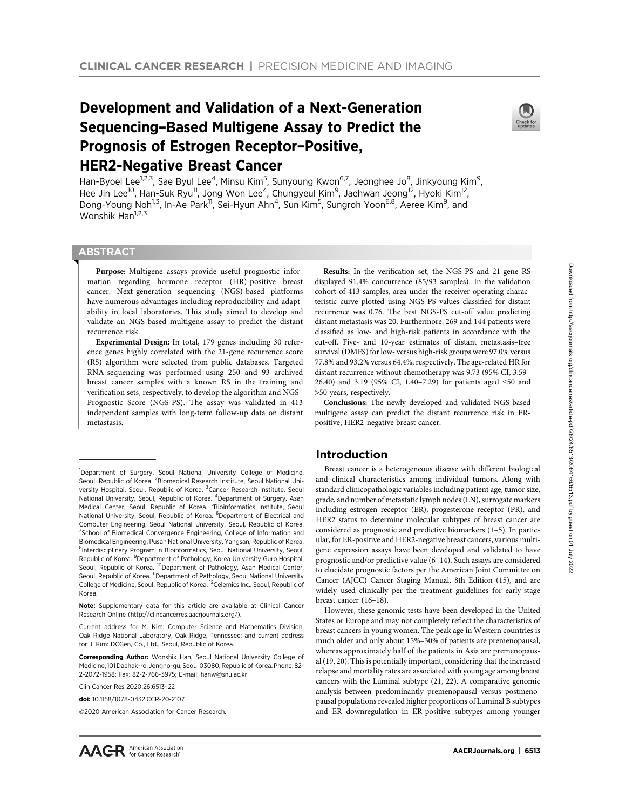# Development and Validation of a Next-Generation Sequencing–Based Multigene Assay to Predict the Prognosis of Estrogen Receptor–Positive, HER2-Negative Breast Cancer



Han-Byoel Lee<sup>1,2,3</sup>, Sae Byul Lee<sup>4</sup>, Minsu Kim<sup>5</sup>, Sunyoung Kwon<sup>6,7</sup>, Jeonghee Jo<sup>8</sup>, Jinkyoung Kim<sup>9</sup>, Hee Jin Lee<sup>10</sup>, Han-Suk Ryu<sup>11</sup>, Jong Won Lee<sup>4</sup>, Chungyeul Kim<sup>9</sup>, Jaehwan Jeong<sup>12</sup>, Hyoki Kim<sup>12</sup>, Dong-Young Noh<sup>1,3</sup>, In-Ae Park<sup>11</sup>, Sei-Hyun Ahn<sup>4</sup>, Sun Kim<sup>5</sup>, Sungroh Yoon<sup>6,8</sup>, Aeree Kim<sup>9</sup>, and Wonshik Han<sup>1,2,3</sup>

# **ABSTRACT**

◥

Purpose: Multigene assays provide useful prognostic information regarding hormone receptor (HR)-positive breast cancer. Next-generation sequencing (NGS)-based platforms have numerous advantages including reproducibility and adaptability in local laboratories. This study aimed to develop and validate an NGS-based multigene assay to predict the distant recurrence risk.

Experimental Design: In total, 179 genes including 30 reference genes highly correlated with the 21-gene recurrence score (RS) algorithm were selected from public databases. Targeted RNA-sequencing was performed using 250 and 93 archived breast cancer samples with a known RS in the training and verification sets, respectively, to develop the algorithm and NGS– Prognostic Score (NGS-PS). The assay was validated in 413 independent samples with long-term follow-up data on distant metastasis.

Clin Cancer Res 2020;26:6513–22

©2020 American Association for Cancer Research.

Results: In the verification set, the NGS-PS and 21-gene RS displayed 91.4% concurrence (85/93 samples). In the validation cohort of 413 samples, area under the receiver operating characteristic curve plotted using NGS-PS values classified for distant recurrence was 0.76. The best NGS-PS cut-off value predicting distant metastasis was 20. Furthermore, 269 and 144 patients were classified as low- and high-risk patients in accordance with the cut-off. Five- and 10-year estimates of distant metastasis–free survival (DMFS) for low- versus high-risk groups were 97.0% versus 77.8% and 93.2% versus 64.4%, respectively. The age-related HR for distant recurrence without chemotherapy was 9.73 (95% CI, 3.59– 26.40) and 3.19 (95% CI, 1.40–7.29) for patients aged ≤50 and >50 years, respectively.

Conclusions: The newly developed and validated NGS-based multigene assay can predict the distant recurrence risk in ERpositive, HER2-negative breast cancer.

# Introduction

Breast cancer is a heterogeneous disease with different biological and clinical characteristics among individual tumors. Along with standard clinicopathologic variables including patient age, tumor size, grade, and number of metastatic lymph nodes (LN), surrogate markers including estrogen receptor (ER), progesterone receptor (PR), and HER2 status to determine molecular subtypes of breast cancer are considered as prognostic and predictive biomarkers (1–5). In particular, for ER-positive and HER2-negative breast cancers, various multigene expression assays have been developed and validated to have prognostic and/or predictive value (6–14). Such assays are considered to elucidate prognostic factors per the American Joint Committee on Cancer (AJCC) Cancer Staging Manual, 8th Edition (15), and are widely used clinically per the treatment guidelines for early-stage breast cancer (16–18).

However, these genomic tests have been developed in the United States or Europe and may not completely reflect the characteristics of breast cancers in young women. The peak age in Western countries is much older and only about 15%–30% of patients are premenopausal, whereas approximately half of the patients in Asia are premenopausal (19, 20). This is potentially important, considering that the increased relapse and mortality rates are associated with young age among breast cancers with the Luminal subtype (21, 22). A comparative genomic analysis between predominantly premenopausal versus postmenopausal populations revealed higher proportions of Luminal B subtypes and ER downregulation in ER-positive subtypes among younger

<sup>&</sup>lt;sup>1</sup>Department of Surgery, Seoul National University College of Medicine, Seoul, Republic of Korea. <sup>2</sup> Biomedical Research Institute, Seoul National University Hospital, Seoul, Republic of Korea. <sup>3</sup>Cancer Research Institute, Seoul National University, Seoul, Republic of Korea. <sup>4</sup>Department of Surgery, Asan Medical Center, Seoul, Republic of Korea. <sup>5</sup>Bioinformatics Institute, Seoul National University, Seoul, Republic of Korea. <sup>6</sup>Department of Electrical and Computer Engineering, Seoul National University, Seoul, Republic of Korea. <sup>7</sup>School of Biomedical Convergence Engineering, College of Information and Biomedical Engineering, Pusan National University, Yangsan, Republic of Korea. <sup>8</sup>Interdisciplinary Program in Bioinformatics, Seoul National University, Seoul, Republic of Korea. <sup>9</sup>Department of Pathology, Korea University Guro Hospital, Seoul, Republic of Korea. <sup>10</sup>Department of Pathology, Asan Medical Center, Seoul, Republic of Korea. <sup>11</sup>Department of Pathology, Seoul National University College of Medicine, Seoul, Republic of Korea. 12Celemics Inc., Seoul, Republic of Korea.

Note: Supplementary data for this article are available at Clinical Cancer Research Online (http://clincancerres.aacrjournals.org/).

Current address for M. Kim: Computer Science and Mathematics Division, Oak Ridge National Laboratory, Oak Ridge, Tennessee; and current address for J. Kim: DCGen, Co., Ltd., Seoul, Republic of Korea.

Corresponding Author: Wonshik Han, Seoul National University College of Medicine, 101 Daehak-ro, Jongno-gu, Seoul 03080, Republic of Korea. Phone: 82- 2-2072-1958; Fax: 82-2-766-3975; E-mail: hanw@snu.ac.kr

doi: 10.1158/1078-0432.CCR-20-2107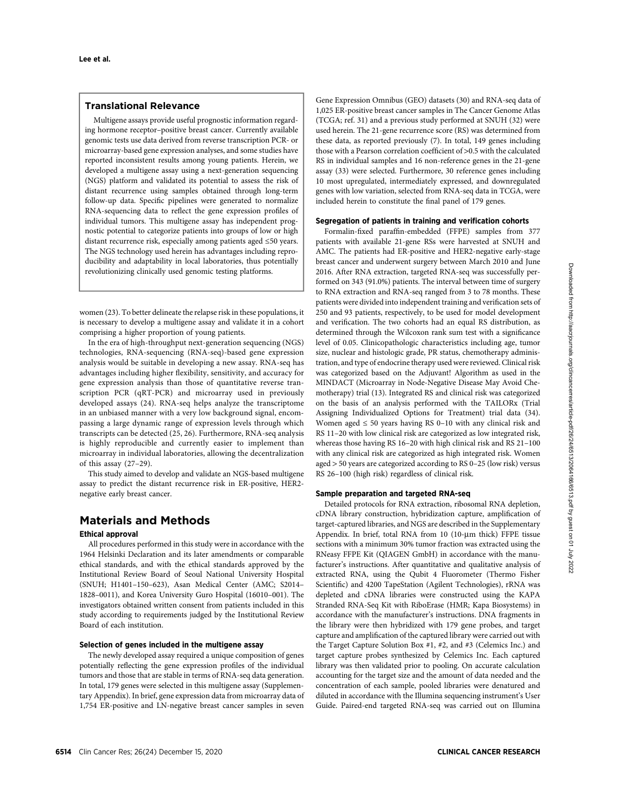## Translational Relevance

Multigene assays provide useful prognostic information regarding hormone receptor–positive breast cancer. Currently available genomic tests use data derived from reverse transcription PCR- or microarray-based gene expression analyses, and some studies have reported inconsistent results among young patients. Herein, we developed a multigene assay using a next-generation sequencing (NGS) platform and validated its potential to assess the risk of distant recurrence using samples obtained through long-term follow-up data. Specific pipelines were generated to normalize RNA-sequencing data to reflect the gene expression profiles of individual tumors. This multigene assay has independent prognostic potential to categorize patients into groups of low or high distant recurrence risk, especially among patients aged ≤50 years. The NGS technology used herein has advantages including reproducibility and adaptability in local laboratories, thus potentially revolutionizing clinically used genomic testing platforms.

women (23). To better delineate the relapse risk in these populations, it is necessary to develop a multigene assay and validate it in a cohort comprising a higher proportion of young patients.

In the era of high-throughput next-generation sequencing (NGS) technologies, RNA-sequencing (RNA-seq)-based gene expression analysis would be suitable in developing a new assay. RNA-seq has advantages including higher flexibility, sensitivity, and accuracy for gene expression analysis than those of quantitative reverse transcription PCR (qRT-PCR) and microarray used in previously developed assays (24). RNA-seq helps analyze the transcriptome in an unbiased manner with a very low background signal, encompassing a large dynamic range of expression levels through which transcripts can be detected (25, 26). Furthermore, RNA-seq analysis is highly reproducible and currently easier to implement than microarray in individual laboratories, allowing the decentralization of this assay (27–29).

This study aimed to develop and validate an NGS-based multigene assay to predict the distant recurrence risk in ER-positive, HER2 negative early breast cancer.

# Materials and Methods

#### Ethical approval

All procedures performed in this study were in accordance with the 1964 Helsinki Declaration and its later amendments or comparable ethical standards, and with the ethical standards approved by the Institutional Review Board of Seoul National University Hospital (SNUH; H1401–150–623), Asan Medical Center (AMC; S2014– 1828–0011), and Korea University Guro Hospital (16010–001). The investigators obtained written consent from patients included in this study according to requirements judged by the Institutional Review Board of each institution.

#### Selection of genes included in the multigene assay

The newly developed assay required a unique composition of genes potentially reflecting the gene expression profiles of the individual tumors and those that are stable in terms of RNA-seq data generation. In total, 179 genes were selected in this multigene assay (Supplementary Appendix). In brief, gene expression data from microarray data of 1,754 ER-positive and LN-negative breast cancer samples in seven Gene Expression Omnibus (GEO) datasets (30) and RNA-seq data of 1,025 ER-positive breast cancer samples in The Cancer Genome Atlas (TCGA; ref. 31) and a previous study performed at SNUH (32) were used herein. The 21-gene recurrence score (RS) was determined from these data, as reported previously (7). In total, 149 genes including those with a Pearson correlation coefficient of >0.5 with the calculated RS in individual samples and 16 non-reference genes in the 21-gene assay (33) were selected. Furthermore, 30 reference genes including 10 most upregulated, intermediately expressed, and downregulated genes with low variation, selected from RNA-seq data in TCGA, were included herein to constitute the final panel of 179 genes.

## Segregation of patients in training and verification cohorts

Formalin-fixed paraffin-embedded (FFPE) samples from 377 patients with available 21-gene RSs were harvested at SNUH and AMC. The patients had ER-positive and HER2-negative early-stage breast cancer and underwent surgery between March 2010 and June 2016. After RNA extraction, targeted RNA-seq was successfully performed on 343 (91.0%) patients. The interval between time of surgery to RNA extraction and RNA-seq ranged from 3 to 78 months. These patients were divided into independent training and verification sets of 250 and 93 patients, respectively, to be used for model development and verification. The two cohorts had an equal RS distribution, as determined through the Wilcoxon rank sum test with a significance level of 0.05. Clinicopathologic characteristics including age, tumor size, nuclear and histologic grade, PR status, chemotherapy administration, and type of endocrine therapy used were reviewed. Clinical risk was categorized based on the Adjuvant! Algorithm as used in the MINDACT (Microarray in Node-Negative Disease May Avoid Chemotherapy) trial (13). Integrated RS and clinical risk was categorized on the basis of an analysis performed with the TAILORx (Trial Assigning Individualized Options for Treatment) trial data (34). Women aged  $\leq 50$  years having RS 0-10 with any clinical risk and RS 11–20 with low clinical risk are categorized as low integrated risk, whereas those having RS 16–20 with high clinical risk and RS 21–100 with any clinical risk are categorized as high integrated risk. Women aged > 50 years are categorized according to RS 0–25 (low risk) versus RS 26–100 (high risk) regardless of clinical risk.

#### Sample preparation and targeted RNA-seq

Detailed protocols for RNA extraction, ribosomal RNA depletion, cDNA library construction, hybridization capture, amplification of target-captured libraries, and NGS are described in the Supplementary Appendix. In brief, total RNA from  $10$  (10- $\mu$ m thick) FFPE tissue sections with a minimum 30% tumor fraction was extracted using the RNeasy FFPE Kit (QIAGEN GmbH) in accordance with the manufacturer's instructions. After quantitative and qualitative analysis of extracted RNA, using the Qubit 4 Fluorometer (Thermo Fisher Scientific) and 4200 TapeStation (Agilent Technologies), rRNA was depleted and cDNA libraries were constructed using the KAPA Stranded RNA-Seq Kit with RiboErase (HMR; Kapa Biosystems) in accordance with the manufacturer's instructions. DNA fragments in the library were then hybridized with 179 gene probes, and target capture and amplification of the captured library were carried out with the Target Capture Solution Box #1, #2, and #3 (Celemics Inc.) and target capture probes synthesized by Celemics Inc. Each captured library was then validated prior to pooling. On accurate calculation accounting for the target size and the amount of data needed and the concentration of each sample, pooled libraries were denatured and diluted in accordance with the Illumina sequencing instrument's User Guide. Paired-end targeted RNA-seq was carried out on Illumina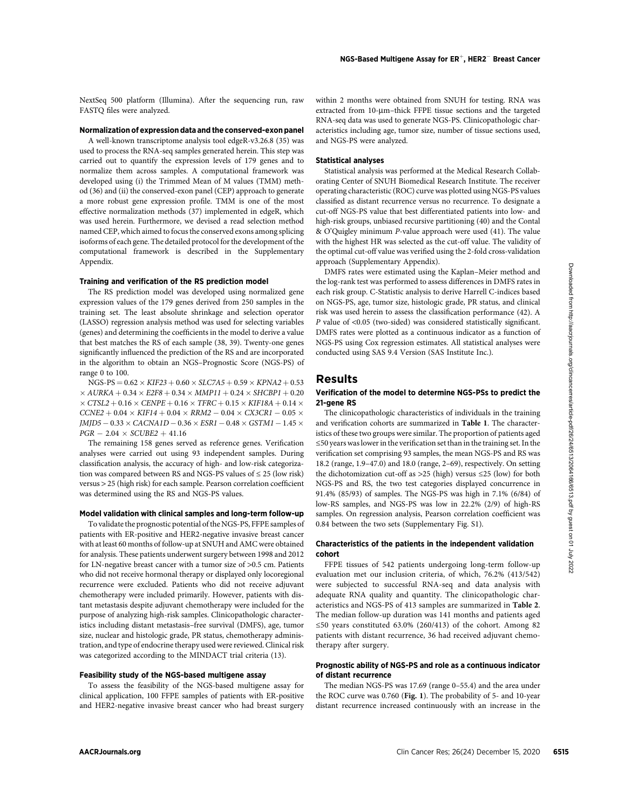NextSeq 500 platform (Illumina). After the sequencing run, raw FASTQ files were analyzed.

# Normalization of expression data and the conserved-exon panel

A well-known transcriptome analysis tool edgeR-v3.26.8 (35) was used to process the RNA-seq samples generated herein. This step was carried out to quantify the expression levels of 179 genes and to normalize them across samples. A computational framework was developed using (i) the Trimmed Mean of M values (TMM) method (36) and (ii) the conserved-exon panel (CEP) approach to generate a more robust gene expression profile. TMM is one of the most effective normalization methods (37) implemented in edgeR, which was used herein. Furthermore, we devised a read selection method named CEP, which aimed to focus the conserved exons among splicing isoforms of each gene. The detailed protocol for the development of the computational framework is described in the Supplementary Appendix.

#### Training and verification of the RS prediction model

The RS prediction model was developed using normalized gene expression values of the 179 genes derived from 250 samples in the training set. The least absolute shrinkage and selection operator (LASSO) regression analysis method was used for selecting variables (genes) and determining the coefficients in the model to derive a value that best matches the RS of each sample (38, 39). Twenty-one genes significantly influenced the prediction of the RS and are incorporated in the algorithm to obtain an NGS–Prognostic Score (NGS-PS) of range 0 to 100.

 $NGS-PS = 0.62 \times KIF23 + 0.60 \times SLC7A5 + 0.59 \times KPNA2 + 0.53$  $\times$  AURKA + 0.34  $\times$  E2F8 + 0.34  $\times$  MMP11 + 0.24  $\times$  SHCBP1 + 0.20  $\times$  CTSL2  $+$  0.16  $\times$  CENPE  $+$  0.16  $\times$  TFRC  $+$  0.15  $\times$  KIF18A  $+$  0.14  $\times$  $CCNE2 + 0.04 \times KIF14 + 0.04 \times RRM2 - 0.04 \times CX3CRI - 0.05 \times$  $JMJD5 - 0.33 \times CACNA1D - 0.36 \times ESR1 - 0.48 \times GSTM1 - 1.45 \times$  $PGR - 2.04 \times SCUBE2 + 41.16$ 

The remaining 158 genes served as reference genes. Verification analyses were carried out using 93 independent samples. During classification analysis, the accuracy of high- and low-risk categorization was compared between RS and NGS-PS values of ≤ 25 (low risk) versus > 25 (high risk) for each sample. Pearson correlation coefficient was determined using the RS and NGS-PS values.

## Model validation with clinical samples and long-term follow-up

To validate the prognostic potential of the NGS-PS, FFPE samples of patients with ER-positive and HER2-negative invasive breast cancer with at least 60 months of follow-up at SNUH and AMC were obtained for analysis. These patients underwent surgery between 1998 and 2012 for LN-negative breast cancer with a tumor size of >0.5 cm. Patients who did not receive hormonal therapy or displayed only locoregional recurrence were excluded. Patients who did not receive adjuvant chemotherapy were included primarily. However, patients with distant metastasis despite adjuvant chemotherapy were included for the purpose of analyzing high-risk samples. Clinicopathologic characteristics including distant metastasis–free survival (DMFS), age, tumor size, nuclear and histologic grade, PR status, chemotherapy administration, and type of endocrine therapy used were reviewed. Clinical risk was categorized according to the MINDACT trial criteria (13). **Tables and verification of the 85 prediction model<br>
Tables procedures and the measurement of the measurement of the measurement of the measurement of the measurement of the measurement of the measurement of the measureme** 

#### Feasibility study of the NGS-based multigene assay

To assess the feasibility of the NGS-based multigene assay for clinical application, 100 FFPE samples of patients with ER-positive and HER2-negative invasive breast cancer who had breast surgery within 2 months were obtained from SNUH for testing. RNA was extracted from 10-µm-thick FFPE tissue sections and the targeted RNA-seq data was used to generate NGS-PS. Clinicopathologic characteristics including age, tumor size, number of tissue sections used, and NGS-PS were analyzed.

#### Statistical analyses

Statistical analysis was performed at the Medical Research Collaborating Center of SNUH Biomedical Research Institute. The receiver operating characteristic (ROC) curve was plotted using NGS-PS values classified as distant recurrence versus no recurrence. To designate a cut-off NGS-PS value that best differentiated patients into low- and high-risk groups, unbiased recursive partitioning (40) and the Contal & O'Quigley minimum P-value approach were used (41). The value with the highest HR was selected as the cut-off value. The validity of the optimal cut-off value was verified using the 2-fold cross-validation approach (Supplementary Appendix).

DMFS rates were estimated using the Kaplan–Meier method and the log-rank test was performed to assess differences in DMFS rates in each risk group. C-Statistic analysis to derive Harrell C-indices based on NGS-PS, age, tumor size, histologic grade, PR status, and clinical risk was used herein to assess the classification performance (42). A P value of <0.05 (two-sided) was considered statistically significant. DMFS rates were plotted as a continuous indicator as a function of NGS-PS using Cox regression estimates. All statistical analyses were conducted using SAS 9.4 Version (SAS Institute Inc.).

## Results

## Verification of the model to determine NGS-PSs to predict the 21-gene RS

The clinicopathologic characteristics of individuals in the training and verification cohorts are summarized in Table 1. The characteristics of these two groups were similar. The proportion of patients aged ≤50 years was lower in the verification set than in the training set. In the verification set comprising 93 samples, the mean NGS-PS and RS was 18.2 (range, 1.9–47.0) and 18.0 (range, 2–69), respectively. On setting the dichotomization cut-off as >25 (high) versus ≤25 (low) for both NGS-PS and RS, the two test categories displayed concurrence in 91.4% (85/93) of samples. The NGS-PS was high in 7.1% (6/84) of low-RS samples, and NGS-PS was low in 22.2% (2/9) of high-RS samples. On regression analysis, Pearson correlation coefficient was 0.84 between the two sets (Supplementary Fig. S1).

#### Characteristics of the patients in the independent validation cohort

FFPE tissues of 542 patients undergoing long-term follow-up evaluation met our inclusion criteria, of which, 76.2% (413/542) were subjected to successful RNA-seq and data analysis with adequate RNA quality and quantity. The clinicopathologic characteristics and NGS-PS of 413 samples are summarized in Table 2. The median follow-up duration was 141 months and patients aged ≤50 years constituted 63.0% (260/413) of the cohort. Among 82 patients with distant recurrence, 36 had received adjuvant chemotherapy after surgery.

## Prognostic ability of NGS-PS and role as a continuous indicator of distant recurrence

The median NGS-PS was 17.69 (range 0–55.4) and the area under the ROC curve was 0.760 (Fig. 1). The probability of 5- and 10-year distant recurrence increased continuously with an increase in the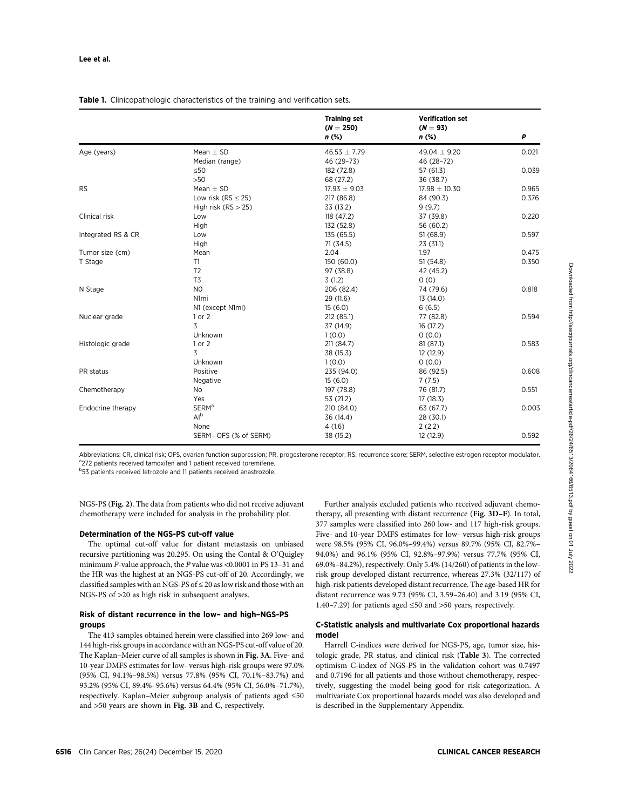## Table 1. Clinicopathologic characteristics of the training and verification sets.

|                    |                           | <b>Training set</b><br>$(N = 250)$<br>$n$ (%) | <b>Verification set</b><br>$(N = 93)$<br>$n$ (%) | P     |
|--------------------|---------------------------|-----------------------------------------------|--------------------------------------------------|-------|
| Age (years)        | Mean $\pm$ SD             | $46.53 \pm 7.79$                              | 49.04 $\pm$ 9.20                                 | 0.021 |
|                    | Median (range)            | 46 (29-73)                                    | 46 (28-72)                                       |       |
|                    | $\leq 50$                 | 182 (72.8)                                    | 57 (61.3)                                        | 0.039 |
|                    | $>50$                     | 68 (27.2)                                     | 36 (38.7)                                        |       |
| <b>RS</b>          | Mean $\pm$ SD             | $17.93 \pm 9.03$                              | $17.98 \pm 10.30$                                | 0.965 |
|                    | Low risk ( $RS \leq 25$ ) | 217 (86.8)                                    | 84 (90.3)                                        | 0.376 |
|                    | High risk $(RS > 25)$     | 33 (13.2)                                     | 9(9.7)                                           |       |
| Clinical risk      | Low                       | 118 (47.2)                                    | 37 (39.8)                                        | 0.220 |
|                    | High                      | 132 (52.8)                                    | 56 (60.2)                                        |       |
| Integrated RS & CR | Low                       | 135 (65.5)                                    | 51(68.9)                                         | 0.597 |
|                    | High                      | 71(34.5)                                      | 23(31.1)                                         |       |
| Tumor size (cm)    | Mean                      | 2.04                                          | 1.97                                             | 0.475 |
| T Stage            | T1                        | 150 (60.0)                                    | 51(54.8)                                         | 0.350 |
|                    | T <sub>2</sub>            | 97 (38.8)                                     | 42 (45.2)                                        |       |
|                    | T <sub>3</sub>            | 3(1.2)                                        | 0(0)                                             |       |
| N Stage            | N <sub>0</sub>            | 206 (82.4)                                    | 74 (79.6)                                        | 0.818 |
|                    | N1 <sub>mi</sub>          | 29 (11.6)                                     | 13 (14.0)                                        |       |
|                    | N1 (except N1mi)          | 15(6.0)                                       | 6(6.5)                                           |       |
| Nuclear grade      | 1 or 2                    | 212 (85.1)                                    | 77 (82.8)                                        | 0.594 |
|                    | 3                         | 37 (14.9)                                     | 16(17.2)                                         |       |
|                    | Unknown                   | 1(0.0)                                        | 0(0.0)                                           |       |
| Histologic grade   | 1 or 2                    | 211 (84.7)                                    | 81(87.1)                                         | 0.583 |
|                    | 3                         | 38 (15.3)                                     | 12 (12.9)                                        |       |
|                    | Unknown                   | 1(0.0)                                        | 0(0.0)                                           |       |
| PR status          | Positive                  | 235 (94.0)                                    | 86 (92.5)                                        | 0.608 |
|                    | Negative                  | 15(6.0)                                       | 7(7.5)                                           |       |
| Chemotherapy       | No                        | 197 (78.8)                                    | 76 (81.7)                                        | 0.551 |
|                    | Yes                       | 53 (21.2)                                     | 17(18.3)                                         |       |
| Endocrine therapy  | <b>SERM<sup>a</sup></b>   | 210 (84.0)                                    | 63 (67.7)                                        | 0.003 |
|                    | Al <sup>b</sup>           | 36 (14.4)                                     | 28 (30.1)                                        |       |
|                    | None                      | 4(1.6)                                        | 2(2.2)                                           |       |
|                    | SERM+OFS (% of SERM)      | 38 (15.2)                                     | 12 (12.9)                                        | 0.592 |

Abbreviations: CR, clinical risk; OFS, ovarian function suppression; PR, progesterone receptor; RS, recurrence score; SERM, selective estrogen receptor modulator. <sup>a</sup>272 patients received tamoxifen and 1 patient received toremifene.

**b53** patients received letrozole and 11 patients received anastrozole.

NGS-PS (Fig. 2). The data from patients who did not receive adjuvant chemotherapy were included for analysis in the probability plot.

#### Determination of the NGS-PS cut-off value

The optimal cut-off value for distant metastasis on unbiased recursive partitioning was 20.295. On using the Contal & O'Quigley minimum P-value approach, the P value was <0.0001 in PS 13–31 and the HR was the highest at an NGS-PS cut-off of 20. Accordingly, we classified samples with an NGS-PS of  $\leq$  20 as low risk and those with an NGS-PS of >20 as high risk in subsequent analyses.

## Risk of distant recurrence in the low– and high–NGS-PS groups

The 413 samples obtained herein were classified into 269 low- and 144 high-risk groups in accordance with an NGS-PS cut-off value of 20. The Kaplan–Meier curve of all samples is shown in Fig. 3A. Five- and 10-year DMFS estimates for low- versus high-risk groups were 97.0% (95% CI, 94.1%–98.5%) versus 77.8% (95% CI, 70.1%–83.7%) and 93.2% (95% CI, 89.4%–95.6%) versus 64.4% (95% CI, 56.0%–71.7%), respectively. Kaplan–Meier subgroup analysis of patients aged ≤50 and <sup>&</sup>gt;50 years are shown in Fig. 3B and C, respectively.

Further analysis excluded patients who received adjuvant chemotherapy, all presenting with distant recurrence (Fig. 3D–F). In total, 377 samples were classified into 260 low- and 117 high-risk groups. Five- and 10-year DMFS estimates for low- versus high-risk groups were 98.5% (95% CI, 96.0%–99.4%) versus 89.7% (95% CI, 82.7%– 94.0%) and 96.1% (95% CI, 92.8%–97.9%) versus 77.7% (95% CI, 69.0%–84.2%), respectively. Only 5.4% (14/260) of patients in the lowrisk group developed distant recurrence, whereas 27.3% (32/117) of high-risk patients developed distant recurrence. The age-based HR for distant recurrence was 9.73 (95% CI, 3.59–26.40) and 3.19 (95% CI, 1.40–7.29) for patients aged ≤50 and >50 years, respectively.

#### C-Statistic analysis and multivariate Cox proportional hazards model

Harrell C-indices were derived for NGS-PS, age, tumor size, histologic grade, PR status, and clinical risk (Table 3). The corrected optimism C-index of NGS-PS in the validation cohort was 0.7497 and 0.7196 for all patients and those without chemotherapy, respectively, suggesting the model being good for risk categorization. A multivariate Cox proportional hazards model was also developed and is described in the Supplementary Appendix.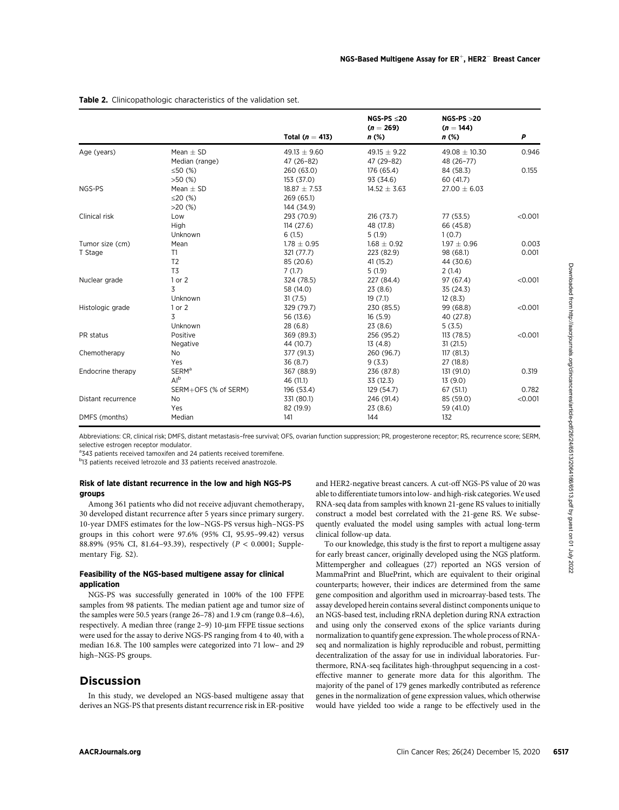|                                                                                                                                                                                     |                                                                                                                                                                                                                                                                                                                                                                                                                                                                                                                                                                                                                                                                                                                                                                                                                                                                                                       | Total ( $n = 413$ ) |  | NGS-PS $\leq$ 20<br>$(n = 269)$<br>n (%)                                                                                                                                                                                                                                                                                                                                                                                              | $NGS-PS > 20$<br>$(n = 144)$<br>$n$ (%)                                                                                                                                                                                                                                                                                                                                                                                                                                                                                                                                                                                                                                                                                                                                                                                                                                                                                                                                                                                                                                                                                                                        | Ρ       |
|-------------------------------------------------------------------------------------------------------------------------------------------------------------------------------------|-------------------------------------------------------------------------------------------------------------------------------------------------------------------------------------------------------------------------------------------------------------------------------------------------------------------------------------------------------------------------------------------------------------------------------------------------------------------------------------------------------------------------------------------------------------------------------------------------------------------------------------------------------------------------------------------------------------------------------------------------------------------------------------------------------------------------------------------------------------------------------------------------------|---------------------|--|---------------------------------------------------------------------------------------------------------------------------------------------------------------------------------------------------------------------------------------------------------------------------------------------------------------------------------------------------------------------------------------------------------------------------------------|----------------------------------------------------------------------------------------------------------------------------------------------------------------------------------------------------------------------------------------------------------------------------------------------------------------------------------------------------------------------------------------------------------------------------------------------------------------------------------------------------------------------------------------------------------------------------------------------------------------------------------------------------------------------------------------------------------------------------------------------------------------------------------------------------------------------------------------------------------------------------------------------------------------------------------------------------------------------------------------------------------------------------------------------------------------------------------------------------------------------------------------------------------------|---------|
| Age (years)                                                                                                                                                                         | Mean $\pm$ SD                                                                                                                                                                                                                                                                                                                                                                                                                                                                                                                                                                                                                                                                                                                                                                                                                                                                                         | $49.13 \pm 9.60$    |  | 49.15 $\pm$ 9.22                                                                                                                                                                                                                                                                                                                                                                                                                      | $49.08 \pm 10.30$                                                                                                                                                                                                                                                                                                                                                                                                                                                                                                                                                                                                                                                                                                                                                                                                                                                                                                                                                                                                                                                                                                                                              | 0.946   |
|                                                                                                                                                                                     | Median (range)                                                                                                                                                                                                                                                                                                                                                                                                                                                                                                                                                                                                                                                                                                                                                                                                                                                                                        | 47 (26-82)          |  | 47 (29-82)                                                                                                                                                                                                                                                                                                                                                                                                                            | 48 (26-77)                                                                                                                                                                                                                                                                                                                                                                                                                                                                                                                                                                                                                                                                                                                                                                                                                                                                                                                                                                                                                                                                                                                                                     |         |
|                                                                                                                                                                                     | ≤50 $(%$ (%)                                                                                                                                                                                                                                                                                                                                                                                                                                                                                                                                                                                                                                                                                                                                                                                                                                                                                          | 260 (63.0)          |  | 176 (65.4)                                                                                                                                                                                                                                                                                                                                                                                                                            | 84 (58.3)                                                                                                                                                                                                                                                                                                                                                                                                                                                                                                                                                                                                                                                                                                                                                                                                                                                                                                                                                                                                                                                                                                                                                      | 0.155   |
|                                                                                                                                                                                     | $>50$ (%)                                                                                                                                                                                                                                                                                                                                                                                                                                                                                                                                                                                                                                                                                                                                                                                                                                                                                             | 153 (37.0)          |  | 93 (34.6)                                                                                                                                                                                                                                                                                                                                                                                                                             | 60 (41.7)                                                                                                                                                                                                                                                                                                                                                                                                                                                                                                                                                                                                                                                                                                                                                                                                                                                                                                                                                                                                                                                                                                                                                      |         |
| NGS-PS                                                                                                                                                                              | Mean $\pm$ SD                                                                                                                                                                                                                                                                                                                                                                                                                                                                                                                                                                                                                                                                                                                                                                                                                                                                                         | $18.87 \pm 7.53$    |  | $14.52 \pm 3.63$                                                                                                                                                                                                                                                                                                                                                                                                                      | $27.00 \pm 6.03$                                                                                                                                                                                                                                                                                                                                                                                                                                                                                                                                                                                                                                                                                                                                                                                                                                                                                                                                                                                                                                                                                                                                               |         |
| Clinical risk                                                                                                                                                                       | ≤20 $(%$                                                                                                                                                                                                                                                                                                                                                                                                                                                                                                                                                                                                                                                                                                                                                                                                                                                                                              | 269 (65.1)          |  |                                                                                                                                                                                                                                                                                                                                                                                                                                       |                                                                                                                                                                                                                                                                                                                                                                                                                                                                                                                                                                                                                                                                                                                                                                                                                                                                                                                                                                                                                                                                                                                                                                |         |
|                                                                                                                                                                                     | >20(%)                                                                                                                                                                                                                                                                                                                                                                                                                                                                                                                                                                                                                                                                                                                                                                                                                                                                                                | 144 (34.9)          |  |                                                                                                                                                                                                                                                                                                                                                                                                                                       |                                                                                                                                                                                                                                                                                                                                                                                                                                                                                                                                                                                                                                                                                                                                                                                                                                                                                                                                                                                                                                                                                                                                                                |         |
|                                                                                                                                                                                     | Low                                                                                                                                                                                                                                                                                                                                                                                                                                                                                                                                                                                                                                                                                                                                                                                                                                                                                                   | 293 (70.9)          |  | 216 (73.7)                                                                                                                                                                                                                                                                                                                                                                                                                            | 77 (53.5)                                                                                                                                                                                                                                                                                                                                                                                                                                                                                                                                                                                                                                                                                                                                                                                                                                                                                                                                                                                                                                                                                                                                                      | < 0.001 |
|                                                                                                                                                                                     | High                                                                                                                                                                                                                                                                                                                                                                                                                                                                                                                                                                                                                                                                                                                                                                                                                                                                                                  | 114(27.6)           |  | 48 (17.8)                                                                                                                                                                                                                                                                                                                                                                                                                             | 66 (45.8)                                                                                                                                                                                                                                                                                                                                                                                                                                                                                                                                                                                                                                                                                                                                                                                                                                                                                                                                                                                                                                                                                                                                                      |         |
|                                                                                                                                                                                     | Unknown                                                                                                                                                                                                                                                                                                                                                                                                                                                                                                                                                                                                                                                                                                                                                                                                                                                                                               | 6(1.5)              |  | 5 (1.9)                                                                                                                                                                                                                                                                                                                                                                                                                               | 1(0.7)                                                                                                                                                                                                                                                                                                                                                                                                                                                                                                                                                                                                                                                                                                                                                                                                                                                                                                                                                                                                                                                                                                                                                         |         |
| Tumor size (cm)                                                                                                                                                                     | Mean                                                                                                                                                                                                                                                                                                                                                                                                                                                                                                                                                                                                                                                                                                                                                                                                                                                                                                  | $1.78 \pm 0.95$     |  | $1.68 \pm 0.92$                                                                                                                                                                                                                                                                                                                                                                                                                       | $1.97 \pm 0.96$                                                                                                                                                                                                                                                                                                                                                                                                                                                                                                                                                                                                                                                                                                                                                                                                                                                                                                                                                                                                                                                                                                                                                | 0.003   |
| T Stage                                                                                                                                                                             | T1                                                                                                                                                                                                                                                                                                                                                                                                                                                                                                                                                                                                                                                                                                                                                                                                                                                                                                    | 321 (77.7)          |  | 223 (82.9)                                                                                                                                                                                                                                                                                                                                                                                                                            | 98 (68.1)                                                                                                                                                                                                                                                                                                                                                                                                                                                                                                                                                                                                                                                                                                                                                                                                                                                                                                                                                                                                                                                                                                                                                      | 0.001   |
|                                                                                                                                                                                     | T <sub>2</sub>                                                                                                                                                                                                                                                                                                                                                                                                                                                                                                                                                                                                                                                                                                                                                                                                                                                                                        | 85 (20.6)           |  | 41 (15.2)                                                                                                                                                                                                                                                                                                                                                                                                                             | 44 (30.6)                                                                                                                                                                                                                                                                                                                                                                                                                                                                                                                                                                                                                                                                                                                                                                                                                                                                                                                                                                                                                                                                                                                                                      |         |
|                                                                                                                                                                                     | T3                                                                                                                                                                                                                                                                                                                                                                                                                                                                                                                                                                                                                                                                                                                                                                                                                                                                                                    | 7(1.7)              |  | 5 (1.9)                                                                                                                                                                                                                                                                                                                                                                                                                               | 2 (1.4)                                                                                                                                                                                                                                                                                                                                                                                                                                                                                                                                                                                                                                                                                                                                                                                                                                                                                                                                                                                                                                                                                                                                                        |         |
| Nuclear grade                                                                                                                                                                       | 1 or 2                                                                                                                                                                                                                                                                                                                                                                                                                                                                                                                                                                                                                                                                                                                                                                                                                                                                                                | 324 (78.5)          |  | 227 (84.4)                                                                                                                                                                                                                                                                                                                                                                                                                            | 97 (67.4)                                                                                                                                                                                                                                                                                                                                                                                                                                                                                                                                                                                                                                                                                                                                                                                                                                                                                                                                                                                                                                                                                                                                                      | < 0.001 |
|                                                                                                                                                                                     | 3                                                                                                                                                                                                                                                                                                                                                                                                                                                                                                                                                                                                                                                                                                                                                                                                                                                                                                     | 58 (14.0)           |  | 23 (8.6)                                                                                                                                                                                                                                                                                                                                                                                                                              | 35 (24.3)                                                                                                                                                                                                                                                                                                                                                                                                                                                                                                                                                                                                                                                                                                                                                                                                                                                                                                                                                                                                                                                                                                                                                      |         |
|                                                                                                                                                                                     | Unknown                                                                                                                                                                                                                                                                                                                                                                                                                                                                                                                                                                                                                                                                                                                                                                                                                                                                                               | 31(7.5)             |  | 19(7.1)                                                                                                                                                                                                                                                                                                                                                                                                                               | 12(8.3)                                                                                                                                                                                                                                                                                                                                                                                                                                                                                                                                                                                                                                                                                                                                                                                                                                                                                                                                                                                                                                                                                                                                                        |         |
| Histologic grade                                                                                                                                                                    | 1 or 2                                                                                                                                                                                                                                                                                                                                                                                                                                                                                                                                                                                                                                                                                                                                                                                                                                                                                                | 329 (79.7)          |  | 230 (85.5)                                                                                                                                                                                                                                                                                                                                                                                                                            | 99 (68.8)                                                                                                                                                                                                                                                                                                                                                                                                                                                                                                                                                                                                                                                                                                                                                                                                                                                                                                                                                                                                                                                                                                                                                      | < 0.001 |
|                                                                                                                                                                                     | 3                                                                                                                                                                                                                                                                                                                                                                                                                                                                                                                                                                                                                                                                                                                                                                                                                                                                                                     | 56 (13.6)           |  | 16(5.9)                                                                                                                                                                                                                                                                                                                                                                                                                               | 40 (27.8)                                                                                                                                                                                                                                                                                                                                                                                                                                                                                                                                                                                                                                                                                                                                                                                                                                                                                                                                                                                                                                                                                                                                                      |         |
|                                                                                                                                                                                     | Unknown                                                                                                                                                                                                                                                                                                                                                                                                                                                                                                                                                                                                                                                                                                                                                                                                                                                                                               | 28 (6.8)            |  | 23 (8.6)                                                                                                                                                                                                                                                                                                                                                                                                                              | 5(3.5)                                                                                                                                                                                                                                                                                                                                                                                                                                                                                                                                                                                                                                                                                                                                                                                                                                                                                                                                                                                                                                                                                                                                                         |         |
| PR status                                                                                                                                                                           | Positive                                                                                                                                                                                                                                                                                                                                                                                                                                                                                                                                                                                                                                                                                                                                                                                                                                                                                              | 369 (89.3)          |  | 256 (95.2)                                                                                                                                                                                                                                                                                                                                                                                                                            | 113 (78.5)                                                                                                                                                                                                                                                                                                                                                                                                                                                                                                                                                                                                                                                                                                                                                                                                                                                                                                                                                                                                                                                                                                                                                     | < 0.001 |
|                                                                                                                                                                                     | Negative                                                                                                                                                                                                                                                                                                                                                                                                                                                                                                                                                                                                                                                                                                                                                                                                                                                                                              | 44 (10.7)           |  | 13(4.8)                                                                                                                                                                                                                                                                                                                                                                                                                               | 31 (21.5)                                                                                                                                                                                                                                                                                                                                                                                                                                                                                                                                                                                                                                                                                                                                                                                                                                                                                                                                                                                                                                                                                                                                                      |         |
| Chemotherapy                                                                                                                                                                        | No                                                                                                                                                                                                                                                                                                                                                                                                                                                                                                                                                                                                                                                                                                                                                                                                                                                                                                    | 377 (91.3)          |  | 260 (96.7)                                                                                                                                                                                                                                                                                                                                                                                                                            | 117 (81.3)                                                                                                                                                                                                                                                                                                                                                                                                                                                                                                                                                                                                                                                                                                                                                                                                                                                                                                                                                                                                                                                                                                                                                     |         |
|                                                                                                                                                                                     | Yes                                                                                                                                                                                                                                                                                                                                                                                                                                                                                                                                                                                                                                                                                                                                                                                                                                                                                                   | 36 (8.7)            |  | 9(3.3)                                                                                                                                                                                                                                                                                                                                                                                                                                | 27 (18.8)                                                                                                                                                                                                                                                                                                                                                                                                                                                                                                                                                                                                                                                                                                                                                                                                                                                                                                                                                                                                                                                                                                                                                      |         |
| Endocrine therapy                                                                                                                                                                   | <b>SERM<sup>a</sup></b>                                                                                                                                                                                                                                                                                                                                                                                                                                                                                                                                                                                                                                                                                                                                                                                                                                                                               | 367 (88.9)          |  | 236 (87.8)                                                                                                                                                                                                                                                                                                                                                                                                                            | 131 (91.0)                                                                                                                                                                                                                                                                                                                                                                                                                                                                                                                                                                                                                                                                                                                                                                                                                                                                                                                                                                                                                                                                                                                                                     | 0.319   |
|                                                                                                                                                                                     | Al <sup>b</sup>                                                                                                                                                                                                                                                                                                                                                                                                                                                                                                                                                                                                                                                                                                                                                                                                                                                                                       | 46 (11.1)           |  | 33 (12.3)                                                                                                                                                                                                                                                                                                                                                                                                                             | 13(9.0)                                                                                                                                                                                                                                                                                                                                                                                                                                                                                                                                                                                                                                                                                                                                                                                                                                                                                                                                                                                                                                                                                                                                                        |         |
|                                                                                                                                                                                     | SERM+OFS (% of SERM)                                                                                                                                                                                                                                                                                                                                                                                                                                                                                                                                                                                                                                                                                                                                                                                                                                                                                  | 196 (53.4)          |  | 129 (54.7)                                                                                                                                                                                                                                                                                                                                                                                                                            | 67 (51.1)                                                                                                                                                                                                                                                                                                                                                                                                                                                                                                                                                                                                                                                                                                                                                                                                                                                                                                                                                                                                                                                                                                                                                      | 0.782   |
| Distant recurrence                                                                                                                                                                  | No                                                                                                                                                                                                                                                                                                                                                                                                                                                                                                                                                                                                                                                                                                                                                                                                                                                                                                    | 331 (80.1)          |  | 246 (91.4)                                                                                                                                                                                                                                                                                                                                                                                                                            | 85 (59.0)                                                                                                                                                                                                                                                                                                                                                                                                                                                                                                                                                                                                                                                                                                                                                                                                                                                                                                                                                                                                                                                                                                                                                      | < 0.001 |
|                                                                                                                                                                                     | Yes                                                                                                                                                                                                                                                                                                                                                                                                                                                                                                                                                                                                                                                                                                                                                                                                                                                                                                   | 82 (19.9)           |  | 23 (8.6)                                                                                                                                                                                                                                                                                                                                                                                                                              | 59 (41.0)                                                                                                                                                                                                                                                                                                                                                                                                                                                                                                                                                                                                                                                                                                                                                                                                                                                                                                                                                                                                                                                                                                                                                      |         |
| DMFS (months)                                                                                                                                                                       | Median                                                                                                                                                                                                                                                                                                                                                                                                                                                                                                                                                                                                                                                                                                                                                                                                                                                                                                | 141                 |  | 144                                                                                                                                                                                                                                                                                                                                                                                                                                   | 132                                                                                                                                                                                                                                                                                                                                                                                                                                                                                                                                                                                                                                                                                                                                                                                                                                                                                                                                                                                                                                                                                                                                                            |         |
| groups<br>mentary Fig. S2).<br>application                                                                                                                                          | Risk of late distant recurrence in the low and high NGS-PS<br>Among 361 patients who did not receive adjuvant chemotherapy,<br>30 developed distant recurrence after 5 years since primary surgery.<br>10-year DMFS estimates for the low-NGS-PS versus high-NGS-PS<br>groups in this cohort were 97.6% (95% CI, 95.95-99.42) versus<br>88.89% (95% CI, 81.64-93.39), respectively (P < 0.0001; Supple-<br>Feasibility of the NGS-based multigene assay for clinical<br>NGS-PS was successfully generated in 100% of the 100 FFPE<br>samples from 98 patients. The median patient age and tumor size of<br>the samples were 50.5 years (range 26-78) and 1.9 cm (range 0.8-4.6),<br>respectively. A median three (range 2-9) 10-um FFPE tissue sections<br>were used for the assay to derive NGS-PS ranging from 4 to 40, with a<br>median 16.8. The 100 samples were categorized into 71 low- and 29 |                     |  | clinical follow-up data.                                                                                                                                                                                                                                                                                                                                                                                                              | and HER2-negative breast cancers. A cut-off NGS-PS value of 20 was<br>able to differentiate tumors into low- and high-risk categories. We used<br>RNA-seq data from samples with known 21-gene RS values to initially<br>construct a model best correlated with the 21-gene RS. We subse-<br>quently evaluated the model using samples with actual long-term<br>To our knowledge, this study is the first to report a multigene assay<br>for early breast cancer, originally developed using the NGS platform.<br>Mittempergher and colleagues (27) reported an NGS version of<br>MammaPrint and BluePrint, which are equivalent to their original<br>counterparts; however, their indices are determined from the same<br>gene composition and algorithm used in microarray-based tests. The<br>assay developed herein contains several distinct components unique to<br>an NGS-based test, including rRNA depletion during RNA extraction<br>and using only the conserved exons of the splice variants during<br>normalization to quantify gene expression. The whole process of RNA-<br>seq and normalization is highly reproducible and robust, permitting |         |
| high-NGS-PS groups.<br><b>Discussion</b><br>In this study, we developed an NGS-based multigene assay that<br>derives an NGS-PS that presents distant recurrence risk in ER-positive |                                                                                                                                                                                                                                                                                                                                                                                                                                                                                                                                                                                                                                                                                                                                                                                                                                                                                                       |                     |  | decentralization of the assay for use in individual laboratories. Fur-<br>thermore, RNA-seq facilitates high-throughput sequencing in a cost-<br>effective manner to generate more data for this algorithm. The<br>majority of the panel of 179 genes markedly contributed as reference<br>genes in the normalization of gene expression values, which otherwise<br>would have yielded too wide a range to be effectively used in the |                                                                                                                                                                                                                                                                                                                                                                                                                                                                                                                                                                                                                                                                                                                                                                                                                                                                                                                                                                                                                                                                                                                                                                |         |
| AACRJournals.org                                                                                                                                                                    |                                                                                                                                                                                                                                                                                                                                                                                                                                                                                                                                                                                                                                                                                                                                                                                                                                                                                                       |                     |  |                                                                                                                                                                                                                                                                                                                                                                                                                                       | Clin Cancer Res; 26(24) December 15, 2020                                                                                                                                                                                                                                                                                                                                                                                                                                                                                                                                                                                                                                                                                                                                                                                                                                                                                                                                                                                                                                                                                                                      |         |

#### Table 2. Clinicopathologic characteristics of the validation set.

#### Risk of late distant recurrence in the low and high NGS-PS groups

#### Feasibility of the NGS-based multigene assay for clinical application

# Discussion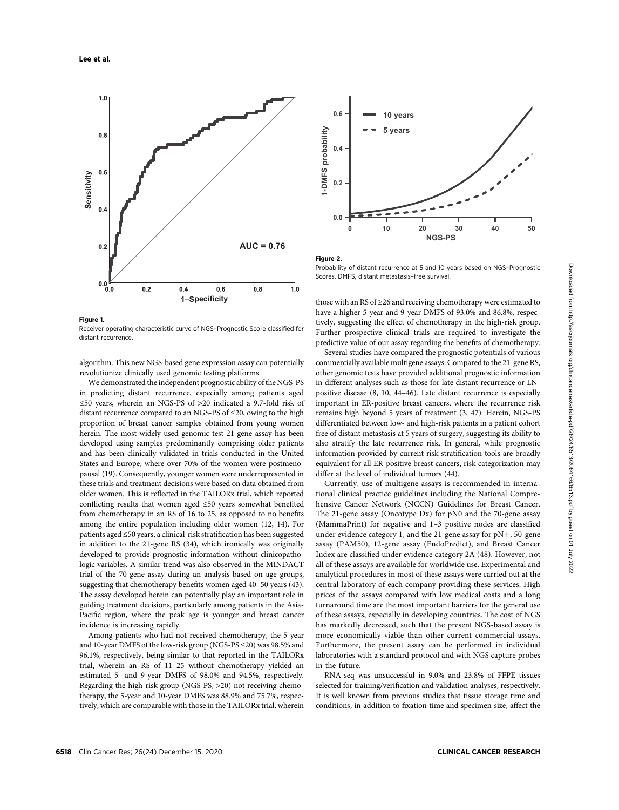

#### Figure 1.

Receiver operating characteristic curve of NGS–Prognostic Score classified for distant recurrence.

algorithm. This new NGS-based gene expression assay can potentially revolutionize clinically used genomic testing platforms.

We demonstrated the independent prognostic ability of the NGS-PS in predicting distant recurrence, especially among patients aged ≤50 years, wherein an NGS-PS of >20 indicated a 9.7-fold risk of distant recurrence compared to an NGS-PS of ≤20, owing to the high proportion of breast cancer samples obtained from young women herein. The most widely used genomic test 21-gene assay has been developed using samples predominantly comprising older patients and has been clinically validated in trials conducted in the United States and Europe, where over 70% of the women were postmenopausal (19). Consequently, younger women were underrepresented in these trials and treatment decisions were based on data obtained from older women. This is reflected in the TAILORx trial, which reported conflicting results that women aged ≤50 years somewhat benefited from chemotherapy in an RS of 16 to 25, as opposed to no benefits among the entire population including older women (12, 14). For patients aged ≤50 years, a clinical-risk stratification has been suggested in addition to the 21-gene RS (34), which ironically was originally developed to provide prognostic information without clinicopathologic variables. A similar trend was also observed in the MINDACT trial of the 70-gene assay during an analysis based on age groups, suggesting that chemotherapy benefits women aged 40–50 years (43). The assay developed herein can potentially play an important role in guiding treatment decisions, particularly among patients in the Asia-Pacific region, where the peak age is younger and breast cancer incidence is increasing rapidly.

Among patients who had not received chemotherapy, the 5-year and 10-year DMFS of the low-risk group (NGS-PS ≤20) was 98.5% and 96.1%, respectively, being similar to that reported in the TAILORx trial, wherein an RS of 11–25 without chemotherapy yielded an estimated 5- and 9-year DMFS of 98.0% and 94.5%, respectively. Regarding the high-risk group (NGS-PS, >20) not receiving chemotherapy, the 5-year and 10-year DMFS was 88.9% and 75.7%, respectively, which are comparable with those in the TAILORx trial, wherein



#### Figure 2.

Probability of distant recurrence at 5 and 10 years based on NGS–Prognostic Scores. DMFS, distant metastasis–free survival.

those with an RS of ≥26 and receiving chemotherapy were estimated to have a higher 5-year and 9-year DMFS of 93.0% and 86.8%, respectively, suggesting the effect of chemotherapy in the high-risk group. Further prospective clinical trials are required to investigate the predictive value of our assay regarding the benefits of chemotherapy.

Several studies have compared the prognostic potentials of various commercially available multigene assays. Compared to the 21-gene RS, other genomic tests have provided additional prognostic information in different analyses such as those for late distant recurrence or LNpositive disease (8, 10, 44–46). Late distant recurrence is especially important in ER-positive breast cancers, where the recurrence risk remains high beyond 5 years of treatment (3, 47). Herein, NGS-PS differentiated between low- and high-risk patients in a patient cohort free of distant metastasis at 5 years of surgery, suggesting its ability to also stratify the late recurrence risk. In general, while prognostic information provided by current risk stratification tools are broadly equivalent for all ER-positive breast cancers, risk categorization may differ at the level of individual tumors (44).

Currently, use of multigene assays is recommended in international clinical practice guidelines including the National Comprehensive Cancer Network (NCCN) Guidelines for Breast Cancer. The 21-gene assay (Oncotype Dx) for pN0 and the 70-gene assay (MammaPrint) for negative and 1–3 positive nodes are classified under evidence category 1, and the 21-gene assay for  $pN+$ , 50-gene assay (PAM50), 12-gene assay (EndoPredict), and Breast Cancer Index are classified under evidence category 2A (48). However, not all of these assays are available for worldwide use. Experimental and analytical procedures in most of these assays were carried out at the central laboratory of each company providing these services. High prices of the assays compared with low medical costs and a long turnaround time are the most important barriers for the general use of these assays, especially in developing countries. The cost of NGS has markedly decreased, such that the present NGS-based assay is more economically viable than other current commercial assays. Furthermore, the present assay can be performed in individual laboratories with a standard protocol and with NGS capture probes in the future.

RNA-seq was unsuccessful in 9.0% and 23.8% of FFPE tissues selected for training/verification and validation analyses, respectively. It is well known from previous studies that tissue storage time and conditions, in addition to fixation time and specimen size, affect the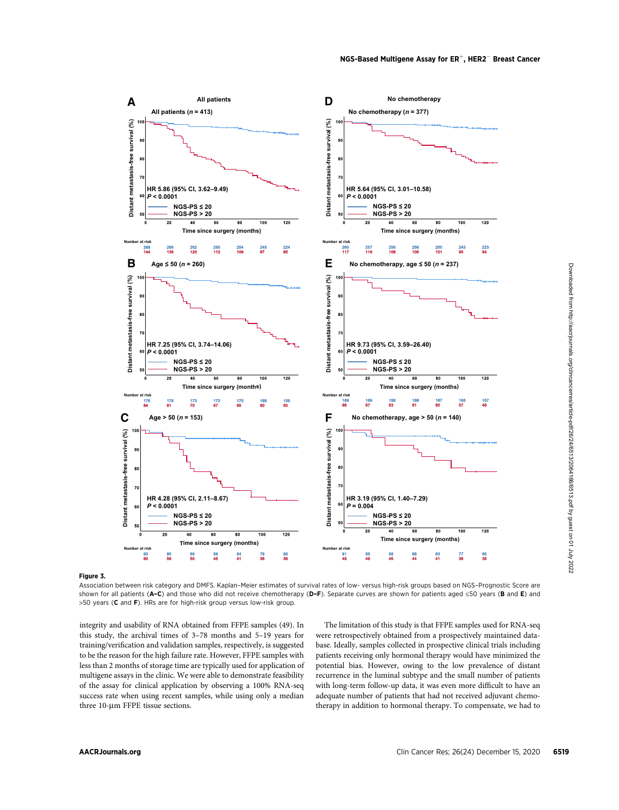

# Figure 3.

Association between risk category and DMFS. Kaplan–Meier estimates of survival rates of low- versus high-risk groups based on NGS–Prognostic Score are shown for all patients ( $A-C$ ) and those who did not receive chemotherapy ( $D-F$ ). Separate curves are shown for patients aged ≤50 years ( $B$  and  $E$ ) and >50 years (C and F). HRs are for high-risk group versus low-risk group.

integrity and usability of RNA obtained from FFPE samples (49). In this study, the archival times of 3–78 months and 5–19 years for training/verification and validation samples, respectively, is suggested to be the reason for the high failure rate. However, FFPE samples with less than 2 months of storage time are typically used for application of multigene assays in the clinic. We were able to demonstrate feasibility of the assay for clinical application by observing a 100% RNA-seq success rate when using recent samples, while using only a median three 10-µm FFPE tissue sections.

The limitation of this study is that FFPE samples used for RNA-seq were retrospectively obtained from a prospectively maintained database. Ideally, samples collected in prospective clinical trials including patients receiving only hormonal therapy would have minimized the potential bias. However, owing to the low prevalence of distant recurrence in the luminal subtype and the small number of patients with long-term follow-up data, it was even more difficult to have an adequate number of patients that had not received adjuvant chemotherapy in addition to hormonal therapy. To compensate, we had to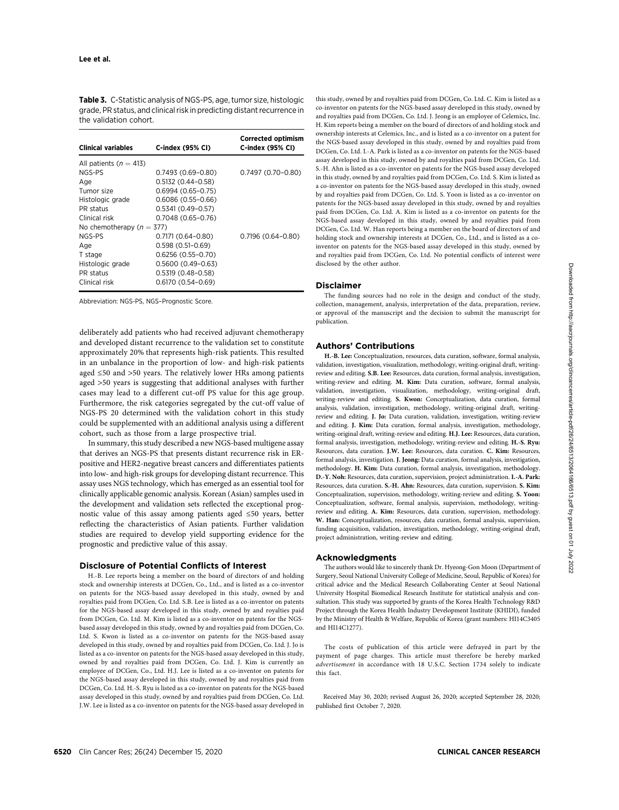| <b>Table 3.</b> C-Statistic analysis of NGS-PS, age, tumor size, histologic |
|-----------------------------------------------------------------------------|
| grade. PR status, and clinical risk in predicting distant recurrence in     |
| the validation cohort.                                                      |

| <b>Clinical variables</b>   | C-index (95% CI)      | <b>Corrected optimism</b><br>C-index (95% CI) |  |  |  |  |
|-----------------------------|-----------------------|-----------------------------------------------|--|--|--|--|
| All patients ( $n = 413$ )  |                       |                                               |  |  |  |  |
| NGS-PS                      | $0.7493(0.69 - 0.80)$ | $0.7497(0.70-0.80)$                           |  |  |  |  |
| Age                         | $0.5132(0.44 - 0.58)$ |                                               |  |  |  |  |
| Tumor size                  | $0.6994(0.65 - 0.75)$ |                                               |  |  |  |  |
| Histologic grade            | $0.6086(0.55 - 0.66)$ |                                               |  |  |  |  |
| PR status                   | $0.5341(0.49 - 0.57)$ |                                               |  |  |  |  |
| Clinical risk               | $0.7048(0.65 - 0.76)$ |                                               |  |  |  |  |
| No chemotherapy $(n = 377)$ |                       |                                               |  |  |  |  |
| NGS-PS                      | $0.7171(0.64 - 0.80)$ | $0.7196(0.64 - 0.80)$                         |  |  |  |  |
| Age                         | $0.598(0.51-0.69)$    |                                               |  |  |  |  |
| T stage                     | $0.6256(0.55-0.70)$   |                                               |  |  |  |  |
| Histologic grade            | $0.5600(0.49-0.63)$   |                                               |  |  |  |  |
| PR status                   | $0.5319(0.48-0.58)$   |                                               |  |  |  |  |
| Clinical risk               | $0.6170(0.54 - 0.69)$ |                                               |  |  |  |  |

Abbreviation: NGS-PS, NGS–Prognostic Score.

deliberately add patients who had received adjuvant chemotherapy and developed distant recurrence to the validation set to constitute approximately 20% that represents high-risk patients. This resulted in an unbalance in the proportion of low- and high-risk patients aged ≤50 and >50 years. The relatively lower HRs among patients aged >50 years is suggesting that additional analyses with further cases may lead to a different cut-off PS value for this age group. Furthermore, the risk categories segregated by the cut-off value of NGS-PS 20 determined with the validation cohort in this study could be supplemented with an additional analysis using a different cohort, such as those from a large prospective trial.

In summary, this study described a new NGS-based multigene assay that derives an NGS-PS that presents distant recurrence risk in ERpositive and HER2-negative breast cancers and differentiates patients into low- and high-risk groups for developing distant recurrence. This assay uses NGS technology, which has emerged as an essential tool for clinically applicable genomic analysis. Korean (Asian) samples used in the development and validation sets reflected the exceptional prognostic value of this assay among patients aged ≤50 years, better reflecting the characteristics of Asian patients. Further validation studies are required to develop yield supporting evidence for the prognostic and predictive value of this assay.

#### Disclosure of Potential Conflicts of Interest

H.-B. Lee reports being a member on the board of directors of and holding stock and ownership interests at DCGen, Co., Ltd., and is listed as a co-inventor on patents for the NGS-based assay developed in this study, owned by and royalties paid from DCGen, Co. Ltd. S.B. Lee is listed as a co-inventor on patents for the NGS-based assay developed in this study, owned by and royalties paid from DCGen, Co. Ltd. M. Kim is listed as a co-inventor on patents for the NGSbased assay developed in this study, owned by and royalties paid from DCGen, Co. Ltd. S. Kwon is listed as a co-inventor on patents for the NGS-based assay developed in this study, owned by and royalties paid from DCGen, Co. Ltd. J. Jo is listed as a co-inventor on patents for the NGS-based assay developed in this study, owned by and royalties paid from DCGen, Co. Ltd. J. Kim is currently an employee of DCGen, Co., Ltd. H.J. Lee is listed as a co-inventor on patents for the NGS-based assay developed in this study, owned by and royalties paid from DCGen, Co. Ltd. H.-S. Ryu is listed as a co-inventor on patents for the NGS-based assay developed in this study, owned by and royalties paid from DCGen, Co. Ltd. J.W. Lee is listed as a co-inventor on patents for the NGS-based assay developed in this study, owned by and royalties paid from DCGen, Co. Ltd. C. Kim is listed as a co-inventor on patents for the NGS-based assay developed in this study, owned by and royalties paid from DCGen, Co. Ltd. J. Jeong is an employee of Celemics, Inc. H. Kim reports being a member on the board of directors of and holding stock and ownership interests at Celemics, Inc., and is listed as a co-inventor on a patent for the NGS-based assay developed in this study, owned by and royalties paid from DCGen, Co. Ltd. I.-A. Park is listed as a co-inventor on patents for the NGS-based assay developed in this study, owned by and royalties paid from DCGen, Co. Ltd. S.-H. Ahn is listed as a co-inventor on patents for the NGS-based assay developed in this study, owned by and royalties paid from DCGen, Co. Ltd. S. Kim is listed as a co-inventor on patents for the NGS-based assay developed in this study, owned by and royalties paid from DCGen, Co. Ltd. S. Yoon is listed as a co-inventor on patents for the NGS-based assay developed in this study, owned by and royalties paid from DCGen, Co. Ltd. A. Kim is listed as a co-inventor on patents for the NGS-based assay developed in this study, owned by and royalties paid from DCGen, Co. Ltd. W. Han reports being a member on the board of directors of and holding stock and ownership interests at DCGen, Co., Ltd., and is listed as a coinventor on patents for the NGS-based assay developed in this study, owned by and royalties paid from DCGen, Co. Ltd. No potential conflicts of interest were disclosed by the other author.

#### Disclaimer

The funding sources had no role in the design and conduct of the study, collection, management, analysis, interpretation of the data, preparation, review, or approval of the manuscript and the decision to submit the manuscript for publication.

#### Authors' Contributions

H.-B. Lee: Conceptualization, resources, data curation, software, formal analysis, validation, investigation, visualization, methodology, writing-original draft, writingreview and editing. **S.B. Lee:** Resources, data curation, formal analysis, investigation,<br>writing review, and editing **M. Kim**. Data curation, coftware, formal analysis writing-review and editing. **M. Kim:** Data curation, software, formal analysis, validation, investigation, visualization, methodology, writing-original draft, writing-review and editing. S. Kwon: Conceptualization, data curation, formal analysis, validation, investigation, methodology, writing-original draft, writingreview and editing. J. Jo: Data curation, validation, investigation, writing-review and editing. J. Kim: Data curation, formal analysis, investigation, methodology, writing-original draft, writing-review and editing. H.J. Lee: Resources, data curation, formal analysis, investigation, methodology, writing-review and editing. H.-S. Ryu: Resources, data curation. J.W. Lee: Resources, data curation. C. Kim: Resources, formal analysis, investigation. J. Jeong: Data curation, formal analysis, investigation, methodology. H. Kim: Data curation, formal analysis, investigation, methodology. D.-Y. Noh: Resources, data curation, supervision, project administration. I.-A. Park: Resources, data curation. S.-H. Ahn: Resources, data curation, supervision. S. Kim: Conceptualization, supervision, methodology, writing-review and editing. S. Yoon: Conceptualization, software, formal analysis, supervision, methodology, writingreview and editing. A. Kim: Resources, data curation, supervision, methodology. W. Han: Conceptualization, resources, data curation, formal analysis, supervision, funding acquisition, validation, investigation, methodology, writing-original draft, project administration, writing-review and editing.

#### Acknowledgments

The authors would like to sincerely thank Dr. Hyeong-Gon Moon (Department of Surgery, Seoul National University College of Medicine, Seoul, Republic of Korea) for critical advice and the Medical Research Collaborating Center at Seoul National University Hospital Biomedical Research Institute for statistical analysis and consultation. This study was supported by grants of the Korea Health Technology R&D Project through the Korea Health Industry Development Institute (KHIDI), funded by the Ministry of Health & Welfare, Republic of Korea (grant numbers: HI14C3405 and HI14C1277).

The costs of publication of this article were defrayed in part by the payment of page charges. This article must therefore be hereby marked advertisement in accordance with 18 U.S.C. Section 1734 solely to indicate this fact.

Received May 30, 2020; revised August 26, 2020; accepted September 28, 2020; published first October 7, 2020.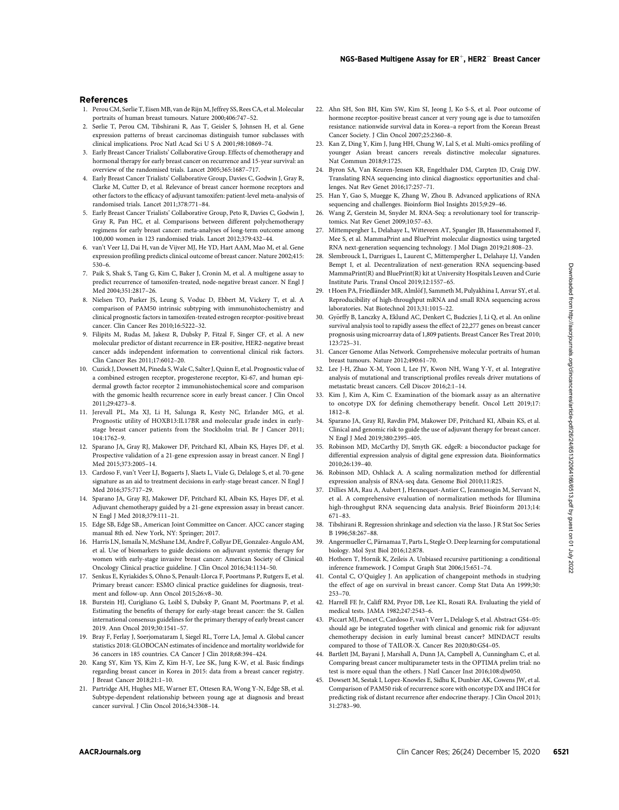#### References

- 1. Perou CM, Sørlie T, Eisen MB, van de Rijn M, Jeffrey SS, Rees CA, et al. Molecular portraits of human breast tumours. Nature 2000;406:747–52.
- 2. Sørlie T, Perou CM, Tibshirani R, Aas T, Geisler S, Johnsen H, et al. Gene expression patterns of breast carcinomas distinguish tumor subclasses with clinical implications. Proc Natl Acad Sci U S A 2001;98:10869–74.
- 3. Early Breast Cancer Trialists' Collaborative Group. Effects of chemotherapy and hormonal therapy for early breast cancer on recurrence and 15-year survival: an overview of the randomised trials. Lancet 2005;365:1687–717.
- 4. Early Breast Cancer Trialists' Collaborative Group, Davies C, Godwin J, Gray R, Clarke M, Cutter D, et al. Relevance of breast cancer hormone receptors and other factors to the efficacy of adjuvant tamoxifen: patient-level meta-analysis of randomised trials. Lancet 2011;378:771–84.
- 5. Early Breast Cancer Trialists' Collaborative Group, Peto R, Davies C, Godwin J, Gray R, Pan HC, et al. Comparisons between different polychemotherapy regimens for early breast cancer: meta-analyses of long-term outcome among 100,000 women in 123 randomised trials. Lancet 2012;379:432–44.
- 6. van't Veer LJ, Dai H, van de Vijver MJ, He YD, Hart AAM, Mao M, et al. Gene expression profiling predicts clinical outcome of breast cancer. Nature 2002;415: 530–6.
- 7. Paik S, Shak S, Tang G, Kim C, Baker J, Cronin M, et al. A multigene assay to predict recurrence of tamoxifen-treated, node-negative breast cancer. N Engl J Med 2004;351:2817–26.
- 8. Nielsen TO, Parker JS, Leung S, Voduc D, Ebbert M, Vickery T, et al. A comparison of PAM50 intrinsic subtyping with immunohistochemistry and clinical prognostic factors in tamoxifen-treated estrogen receptor-positive breast cancer. Clin Cancer Res 2010;16:5222–32.
- 9. Filipits M, Rudas M, Jakesz R, Dubsky P, Fitzal F, Singer CF, et al. A new molecular predictor of distant recurrence in ER-positive, HER2-negative breast cancer adds independent information to conventional clinical risk factors. Clin Cancer Res 2011;17:6012–20.
- 10. Cuzick J, Dowsett M, Pineda S,Wale C, Salter J, Quinn E, et al. Prognostic value of a combined estrogen receptor, progesterone receptor, Ki-67, and human epidermal growth factor receptor 2 immunohistochemical score and comparison with the genomic health recurrence score in early breast cancer. J Clin Oncol 2011;29:4273–8.
- 11. Jerevall PL, Ma XJ, Li H, Salunga R, Kesty NC, Erlander MG, et al. Prognostic utility of HOXB13:IL17BR and molecular grade index in earlystage breast cancer patients from the Stockholm trial. Br J Cancer 2011; 104:1762–9.
- 12. Sparano JA, Gray RJ, Makower DF, Pritchard KI, Albain KS, Hayes DF, et al. Prospective validation of a 21-gene expression assay in breast cancer. N Engl J Med 2015;373:2005–14.
- 13. Cardoso F, van't Veer LJ, Bogaerts J, Slaets L, Viale G, Delaloge S, et al. 70-gene signature as an aid to treatment decisions in early-stage breast cancer. N Engl J Med 2016;375:717–29.
- 14. Sparano JA, Gray RJ, Makower DF, Pritchard KI, Albain KS, Hayes DF, et al. Adjuvant chemotherapy guided by a 21-gene expression assay in breast cancer. N Engl J Med 2018;379:111–21.
- 15. Edge SB, Edge SB., American Joint Committee on Cancer. AJCC cancer staging manual 8th ed. New York, NY: Springer; 2017.
- 16. Harris LN, Ismaila N, McShane LM, Andre F, Collyar DE, Gonzalez-Angulo AM, et al. Use of biomarkers to guide decisions on adjuvant systemic therapy for women with early-stage invasive breast cancer: American Society of Clinical Oncology Clinical practice guideline. J Clin Oncol 2016;34:1134–50.
- 17. Senkus E, Kyriakides S, Ohno S, Penault-Llorca F, Poortmans P, Rutgers E, et al. Primary breast cancer: ESMO clinical practice guidelines for diagnosis, treatment and follow-up. Ann Oncol 2015;26:v8–30.
- 18. Burstein HJ, Curigliano G, Loibl S, Dubsky P, Gnant M, Poortmans P, et al. Estimating the benefits of therapy for early-stage breast cancer: the St. Gallen international consensus guidelines for the primary therapy of early breast cancer 2019. Ann Oncol 2019;30:1541–57.
- 19. Bray F, Ferlay J, Soerjomataram I, Siegel RL, Torre LA, Jemal A. Global cancer statistics 2018: GLOBOCAN estimates of incidence and mortality worldwide for 36 cancers in 185 countries. CA Cancer J Clin 2018;68:394–424.
- 20. Kang SY, Kim YS, Kim Z, Kim H-Y, Lee SK, Jung K-W, et al. Basic findings regarding breast cancer in Korea in 2015: data from a breast cancer registry. J Breast Cancer 2018;21:1–10.
- 21. Partridge AH, Hughes ME, Warner ET, Ottesen RA, Wong Y-N, Edge SB, et al. Subtype-dependent relationship between young age at diagnosis and breast cancer survival. J Clin Oncol 2016;34:3308–14.
- 22. Ahn SH, Son BH, Kim SW, Kim SI, Jeong J, Ko S-S, et al. Poor outcome of hormone receptor-positive breast cancer at very young age is due to tamoxifen resistance: nationwide survival data in Korea–a report from the Korean Breast Cancer Society. J Clin Oncol 2007;25:2360–8.
- 23. Kan Z, Ding Y, Kim J, Jung HH, Chung W, Lal S, et al. Multi-omics profiling of younger Asian breast cancers reveals distinctive molecular signatures. Nat Commun 2018;9:1725.
- 24. Byron SA, Van Keuren-Jensen KR, Engelthaler DM, Carpten JD, Craig DW. Translating RNA sequencing into clinical diagnostics: opportunities and challenges. Nat Rev Genet 2016;17:257–71.
- 25. Han Y, Gao S, Muegge K, Zhang W, Zhou B. Advanced applications of RNA sequencing and challenges. Bioinform Biol Insights 2015;9:29–46.
- 26. Wang Z, Gerstein M, Snyder M. RNA-Seq: a revolutionary tool for transcriptomics. Nat Rev Genet 2009;10:57–63.
- 27. Mittempergher L, Delahaye L, Witteveen AT, Spangler JB, Hassenmahomed F, Mee S, et al. MammaPrint and BluePrint molecular diagnostics using targeted RNA next-generation sequencing technology. J Mol Diagn 2019;21:808–23.
- 28. Slembrouck L, Darrigues L, Laurent C, Mittempergher L, Delahaye LJ, Vanden Bempt I, et al. Decentralization of next-generation RNA sequencing-based MammaPrint(R) and BluePrint(R) kit at University Hospitals Leuven and Curie Institute Paris. Transl Oncol 2019;12:1557–65.
- 29. t Hoen PA, Friedländer MR, Almlöf J, Sammeth M, Pulyakhina I, Anvar SY, et al. Reproducibility of high-throughput mRNA and small RNA sequencing across laboratories. Nat Biotechnol 2013;31:1015–22.
- 30. Györffy B, Lanczky A, Eklund AC, Denkert C, Budczies J, Li Q, et al. An online survival analysis tool to rapidly assess the effect of 22,277 genes on breast cancer prognosis using microarray data of 1,809 patients. Breast Cancer Res Treat 2010; 123:725–31.
- 31. Cancer Genome Atlas Network. Comprehensive molecular portraits of human breast tumours. Nature 2012;490:61–70.
- 32. Lee J-H, Zhao X-M, Yoon I, Lee JY, Kwon NH, Wang Y-Y, et al. Integrative analysis of mutational and transcriptional profiles reveals driver mutations of metastatic breast cancers. Cell Discov 2016;2:1–14.
- 33. Kim J, Kim A, Kim C. Examination of the biomark assay as an alternative to oncotype DX for defining chemotherapy benefit. Oncol Lett 2019;17: 1812–8.
- 34. Sparano JA, Gray RJ, Ravdin PM, Makower DF, Pritchard KI, Albain KS, et al. Clinical and genomic risk to guide the use of adjuvant therapy for breast cancer. N Engl J Med 2019;380:2395–405.
- 35. Robinson MD, McCarthy DJ, Smyth GK. edgeR: a bioconductor package for differential expression analysis of digital gene expression data. Bioinformatics 2010;26:139–40.
- 36. Robinson MD, Oshlack A. A scaling normalization method for differential expression analysis of RNA-seq data. Genome Biol 2010;11:R25.
- 37. Dillies MA, Rau A, Aubert J, Hennequet-Antier C, Jeanmougin M, Servant N, et al. A comprehensive evaluation of normalization methods for Illumina high-throughput RNA sequencing data analysis. Brief Bioinform 2013;14: 671–83.
- 38. Tibshirani R. Regression shrinkage and selection via the lasso. J R Stat Soc Series B 1996;58:267–88.
- 39. Angermueller C, Pärnamaa T, Parts L, Stegle O. Deep learning for computational biology. Mol Syst Biol 2016;12:878.
- 40. Hothorn T, Hornik K, Zeileis A. Unbiased recursive partitioning: a conditional inference framework. J Comput Graph Stat 2006;15:651–74.
- 41. Contal C, O'Quigley J. An application of changepoint methods in studying the effect of age on survival in breast cancer. Comp Stat Data An 1999;30: 253–70.
- 42. Harrell FE Jr, Califf RM, Pryor DB, Lee KL, Rosati RA. Evaluating the yield of medical tests. JAMA 1982;247:2543–6.
- 43. Piccart MJ, Poncet C, Cardoso F, van't Veer L, Delaloge S, et al. Abstract GS4–05: should age be integrated together with clinical and genomic risk for adjuvant chemotherapy decision in early luminal breast cancer? MINDACT results compared to those of TAILOR-X. Cancer Res 2020;80:GS4–05.
- 44. Bartlett JM, Bayani J, Marshall A, Dunn JA, Campbell A, Cunningham C, et al. Comparing breast cancer multiparameter tests in the OPTIMA prelim trial: no test is more equal than the others. J Natl Cancer Inst 2016;108:djw050.
- 45. Dowsett M, Sestak I, Lopez-Knowles E, Sidhu K, Dunbier AK, Cowens JW, et al. Comparison of PAM50 risk of recurrence score with oncotype DX and IHC4 for predicting risk of distant recurrence after endocrine therapy. J Clin Oncol 2013; 31:2783–90.